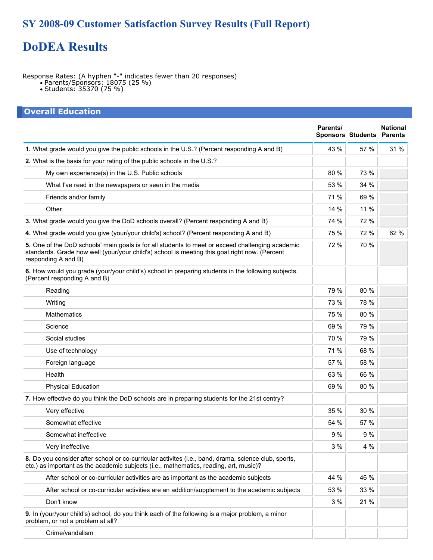## **SY 2008-09 Customer Satisfaction Survey Results (Full Report)**

# **DoDEA Results**

Response Rates: (A hyphen "-" indicates fewer than 20 responses)

- Parents/Sponsors: 18075 (25 %)
- Students: 35370 (75 %)

| <b>Overall Education</b>                                                                                                                                                                                                 |          |                                  |                 |
|--------------------------------------------------------------------------------------------------------------------------------------------------------------------------------------------------------------------------|----------|----------------------------------|-----------------|
|                                                                                                                                                                                                                          | Parents/ | <b>Sponsors Students Parents</b> | <b>National</b> |
| 1. What grade would you give the public schools in the U.S.? (Percent responding A and B)                                                                                                                                | 43 %     | 57 %                             | 31 %            |
| 2. What is the basis for your rating of the public schools in the U.S.?                                                                                                                                                  |          |                                  |                 |
| My own experience(s) in the U.S. Public schools                                                                                                                                                                          | 80 %     | 73 %                             |                 |
| What I've read in the newspapers or seen in the media                                                                                                                                                                    | 53 %     | 34 %                             |                 |
| Friends and/or family                                                                                                                                                                                                    | 71 %     | 69 %                             |                 |
| Other                                                                                                                                                                                                                    | 14 %     | 11 %                             |                 |
| 3. What grade would you give the DoD schools overall? (Percent responding A and B)                                                                                                                                       | 74 %     | 72 %                             |                 |
| 4. What grade would you give (your/your child's) school? (Percent responding A and B)                                                                                                                                    | 75 %     | 72 %                             | 62 %            |
| 5. One of the DoD schools' main goals is for all students to meet or exceed challenging academic<br>standards. Grade how well (your/your child's) school is meeting this goal right now. (Percent<br>responding A and B) | 72 %     | 70 %                             |                 |
| 6. How would you grade (your/your child's) school in preparing students in the following subjects.<br>(Percent responding A and B)                                                                                       |          |                                  |                 |
| Reading                                                                                                                                                                                                                  | 79 %     | 80 %                             |                 |
| Writing                                                                                                                                                                                                                  | 73 %     | 78 %                             |                 |
| <b>Mathematics</b>                                                                                                                                                                                                       | 75 %     | 80 %                             |                 |
| Science                                                                                                                                                                                                                  | 69 %     | 79 %                             |                 |
| Social studies                                                                                                                                                                                                           | 70 %     | 79 %                             |                 |
| Use of technology                                                                                                                                                                                                        | 71 %     | 68 %                             |                 |
| Foreign language                                                                                                                                                                                                         | 57 %     | 58 %                             |                 |
| Health                                                                                                                                                                                                                   | 63 %     | 66 %                             |                 |
| <b>Physical Education</b>                                                                                                                                                                                                | 69 %     | 80 %                             |                 |
| 7. How effective do you think the DoD schools are in preparing students for the 21st centry?                                                                                                                             |          |                                  |                 |
| Very effective                                                                                                                                                                                                           | 35 %     | 30 %                             |                 |
| Somewhat effective                                                                                                                                                                                                       | 54 %     | 57 %                             |                 |
| Somewhat ineffective                                                                                                                                                                                                     | 9%       | 9%                               |                 |
| Very ineffective                                                                                                                                                                                                         | 3%       | 4 %                              |                 |
| 8. Do you consider after school or co-curricular activites (i.e., band, drama, science club, sports,<br>etc.) as important as the academic subjects (i.e., mathematics, reading, art, music)?                            |          |                                  |                 |
| After school or co-curricular activities are as important as the academic subjects                                                                                                                                       | 44 %     | 46 %                             |                 |
| After school or co-curricular activities are an addition/supplement to the academic subjects                                                                                                                             | 53 %     | 33 %                             |                 |
| Don't know                                                                                                                                                                                                               | 3%       | 21 %                             |                 |
| 9. In (your/your child's) school, do you think each of the following is a major problem, a minor<br>problem, or not a problem at all?                                                                                    |          |                                  |                 |
| Crime/vandalism                                                                                                                                                                                                          |          |                                  |                 |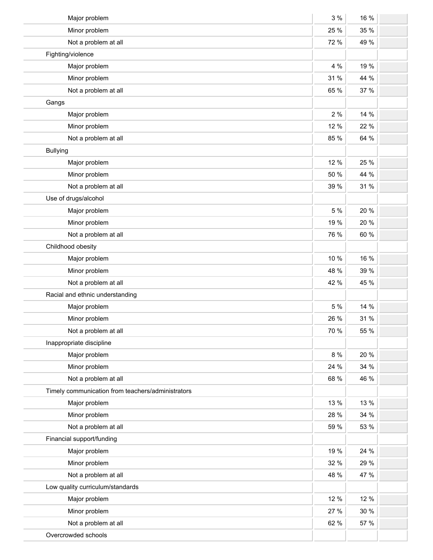| Major problem                                     | 3%   | 16 % |  |
|---------------------------------------------------|------|------|--|
| Minor problem                                     | 25 % | 35 % |  |
| Not a problem at all                              | 72 % | 49 % |  |
| Fighting/violence                                 |      |      |  |
| Major problem                                     | 4 %  | 19 % |  |
| Minor problem                                     | 31 % | 44 % |  |
| Not a problem at all                              | 65 % | 37 % |  |
| Gangs                                             |      |      |  |
| Major problem                                     | 2%   | 14 % |  |
| Minor problem                                     | 12 % | 22 % |  |
| Not a problem at all                              | 85 % | 64 % |  |
| <b>Bullying</b>                                   |      |      |  |
| Major problem                                     | 12 % | 25 % |  |
| Minor problem                                     | 50 % | 44 % |  |
| Not a problem at all                              | 39 % | 31 % |  |
| Use of drugs/alcohol                              |      |      |  |
| Major problem                                     | 5 %  | 20 % |  |
| Minor problem                                     | 19 % | 20 % |  |
| Not a problem at all                              | 76 % | 60 % |  |
| Childhood obesity                                 |      |      |  |
| Major problem                                     | 10 % | 16 % |  |
| Minor problem                                     | 48 % | 39 % |  |
| Not a problem at all                              | 42 % | 45 % |  |
| Racial and ethnic understanding                   |      |      |  |
| Major problem                                     | 5 %  | 14 % |  |
| Minor problem                                     | 26 % | 31 % |  |
| Not a problem at all                              | 70 % | 55 % |  |
| Inappropriate discipline                          |      |      |  |
| Major problem                                     | 8 %  | 20 % |  |
| Minor problem                                     | 24 % | 34 % |  |
| Not a problem at all                              | 68 % | 46 % |  |
| Timely communication from teachers/administrators |      |      |  |
| Major problem                                     | 13 % | 13 % |  |
| Minor problem                                     | 28 % | 34 % |  |
| Not a problem at all                              | 59 % | 53 % |  |
| Financial support/funding                         |      |      |  |
| Major problem                                     | 19 % | 24 % |  |
| Minor problem                                     | 32 % | 29 % |  |
| Not a problem at all                              | 48 % | 47 % |  |
| Low quality curriculum/standards                  |      |      |  |
| Major problem                                     | 12 % | 12 % |  |
| Minor problem                                     | 27 % | 30 % |  |
| Not a problem at all                              | 62 % | 57 % |  |
| Overcrowded schools                               |      |      |  |
|                                                   |      |      |  |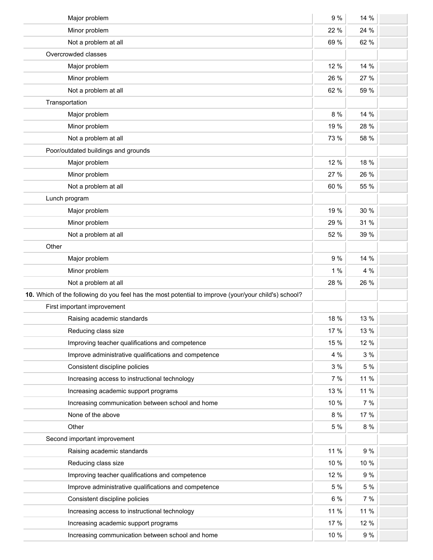| Major problem                                                                                        | 9 %  | 14 % |  |
|------------------------------------------------------------------------------------------------------|------|------|--|
| Minor problem                                                                                        | 22 % | 24 % |  |
| Not a problem at all                                                                                 | 69 % | 62 % |  |
| Overcrowded classes                                                                                  |      |      |  |
| Major problem                                                                                        | 12 % | 14 % |  |
| Minor problem                                                                                        | 26 % | 27 % |  |
| Not a problem at all                                                                                 | 62 % | 59 % |  |
| Transportation                                                                                       |      |      |  |
| Major problem                                                                                        | 8 %  | 14 % |  |
| Minor problem                                                                                        | 19 % | 28 % |  |
| Not a problem at all                                                                                 | 73 % | 58 % |  |
| Poor/outdated buildings and grounds                                                                  |      |      |  |
| Major problem                                                                                        | 12 % | 18 % |  |
| Minor problem                                                                                        | 27 % | 26 % |  |
| Not a problem at all                                                                                 | 60 % | 55 % |  |
| Lunch program                                                                                        |      |      |  |
| Major problem                                                                                        | 19 % | 30 % |  |
| Minor problem                                                                                        | 29 % | 31 % |  |
| Not a problem at all                                                                                 | 52 % | 39 % |  |
| Other                                                                                                |      |      |  |
| Major problem                                                                                        | 9%   | 14 % |  |
| Minor problem                                                                                        | 1%   | 4 %  |  |
| Not a problem at all                                                                                 | 28 % | 26 % |  |
| 10. Which of the following do you feel has the most potential to improve (your/your child's) school? |      |      |  |
| First important improvement                                                                          |      |      |  |
| Raising academic standards                                                                           | 18 % | 13 % |  |
| Reducing class size                                                                                  | 17 % | 13 % |  |
| Improving teacher qualifications and competence                                                      | 15 % | 12 % |  |
| Improve administrative qualifications and competence                                                 | 4 %  | 3%   |  |
| Consistent discipline policies                                                                       | 3%   | 5 %  |  |
| Increasing access to instructional technology                                                        | 7 %  | 11 % |  |
| Increasing academic support programs                                                                 | 13 % | 11 % |  |
| Increasing communication between school and home                                                     | 10 % | 7 %  |  |
| None of the above                                                                                    | 8 %  | 17 % |  |
| Other                                                                                                | 5 %  | 8 %  |  |
| Second important improvement                                                                         |      |      |  |
| Raising academic standards                                                                           | 11 % | 9 %  |  |
| Reducing class size                                                                                  | 10 % | 10 % |  |
| Improving teacher qualifications and competence                                                      | 12 % | 9%   |  |
| Improve administrative qualifications and competence                                                 | 5 %  | 5 %  |  |
| Consistent discipline policies                                                                       | 6 %  | 7%   |  |
| Increasing access to instructional technology                                                        | 11 % | 11 % |  |
| Increasing academic support programs                                                                 | 17 % | 12 % |  |
| Increasing communication between school and home                                                     | 10 % | 9%   |  |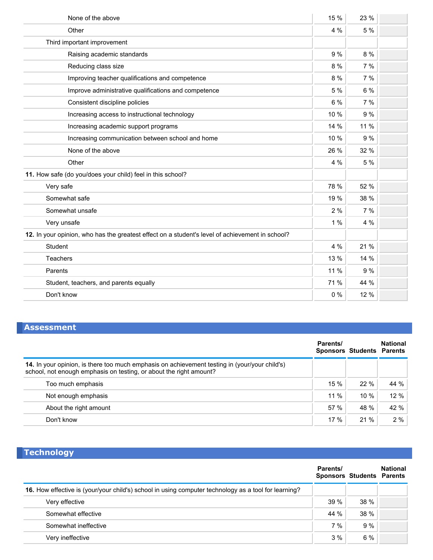| None of the above                                                                               | 15 % | 23 % |  |
|-------------------------------------------------------------------------------------------------|------|------|--|
| Other                                                                                           | 4 %  | 5 %  |  |
| Third important improvement                                                                     |      |      |  |
| Raising academic standards                                                                      | 9 %  | 8 %  |  |
| Reducing class size                                                                             | 8 %  | 7%   |  |
| Improving teacher qualifications and competence                                                 | 8 %  | 7%   |  |
| Improve administrative qualifications and competence                                            | 5 %  | 6 %  |  |
| Consistent discipline policies                                                                  | 6 %  | 7 %  |  |
| Increasing access to instructional technology                                                   | 10 % | 9%   |  |
| Increasing academic support programs                                                            | 14 % | 11 % |  |
| Increasing communication between school and home                                                | 10 % | 9%   |  |
| None of the above                                                                               | 26 % | 32 % |  |
| Other                                                                                           | 4 %  | 5 %  |  |
| 11. How safe (do you/does your child) feel in this school?                                      |      |      |  |
| Very safe                                                                                       | 78 % | 52 % |  |
| Somewhat safe                                                                                   | 19 % | 38 % |  |
| Somewhat unsafe                                                                                 | 2%   | 7%   |  |
| Very unsafe                                                                                     | 1%   | 4 %  |  |
| 12. In your opinion, who has the greatest effect on a student's level of achievement in school? |      |      |  |
| Student                                                                                         | 4 %  | 21 % |  |
| <b>Teachers</b>                                                                                 | 13 % | 14 % |  |
| Parents                                                                                         | 11 % | 9 %  |  |
| Student, teachers, and parents equally                                                          | 71 % | 44 % |  |
| Don't know                                                                                      | 0%   | 12 % |  |

#### **Assessment**

|                                                                                                                                                                     | Parents/<br><b>Sponsors Students Parents</b> |      | <b>National</b> |
|---------------------------------------------------------------------------------------------------------------------------------------------------------------------|----------------------------------------------|------|-----------------|
| 14. In your opinion, is there too much emphasis on achievement testing in (your/your child's)<br>school, not enough emphasis on testing, or about the right amount? |                                              |      |                 |
| Too much emphasis                                                                                                                                                   | 15%                                          | 22%  | 44 %            |
| Not enough emphasis                                                                                                                                                 | $11\%$                                       | 10%  | 12%             |
| About the right amount                                                                                                                                              | 57 %                                         | 48 % | 42 %            |
| Don't know                                                                                                                                                          | 17%                                          | 21%  | 2%              |

## **Technology**

|                                                                                                      | Parents/<br><b>Sponsors Students Parents</b> |      | <b>National</b> |
|------------------------------------------------------------------------------------------------------|----------------------------------------------|------|-----------------|
| 16. How effective is (your/your child's) school in using computer technology as a tool for learning? |                                              |      |                 |
| Very effective                                                                                       | 39%                                          | 38 % |                 |
| Somewhat effective                                                                                   | 44 %                                         | 38 % |                 |
| Somewhat ineffective                                                                                 | 7%                                           | 9 %  |                 |
| Very ineffective                                                                                     | 3%                                           | 6%   |                 |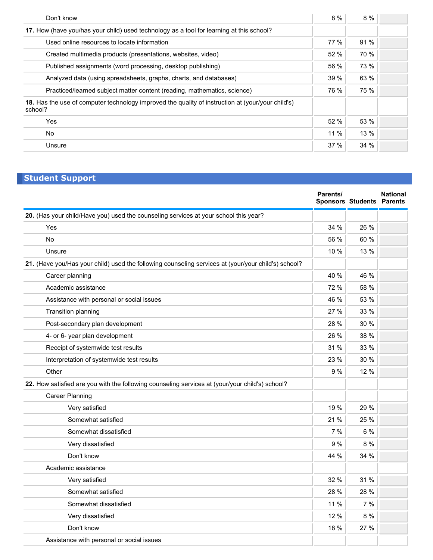| Don't know                                                                                                   | 8%     | 8 %         |  |
|--------------------------------------------------------------------------------------------------------------|--------|-------------|--|
| 17. How (have you/has your child) used technology as a tool for learning at this school?                     |        |             |  |
| Used online resources to locate information                                                                  | $77\%$ | 91 %        |  |
| Created multimedia products (presentations, websites, video)                                                 | 52%    | <b>70 %</b> |  |
| Published assignments (word processing, desktop publishing)                                                  | 56 %   | 73 %        |  |
| Analyzed data (using spreadsheets, graphs, charts, and databases)                                            | 39 %   | 63 %        |  |
| Practiced/learned subject matter content (reading, mathematics, science)                                     | 76 %   | 75 %        |  |
| 18. Has the use of computer technology improved the quality of instruction at (your/your child's)<br>school? |        |             |  |
| Yes                                                                                                          | 52%    | 53 %        |  |
| No                                                                                                           | $11\%$ | 13%         |  |
| Unsure                                                                                                       | 37%    | 34 %        |  |

## **Student Support**

|                                                                                                     | Parents/ | <b>Sponsors Students Parents</b> | <b>National</b> |
|-----------------------------------------------------------------------------------------------------|----------|----------------------------------|-----------------|
| 20. (Has your child/Have you) used the counseling services at your school this year?                |          |                                  |                 |
| Yes                                                                                                 | 34 %     | 26 %                             |                 |
| <b>No</b>                                                                                           | 56 %     | 60 %                             |                 |
| Unsure                                                                                              | 10 %     | 13 %                             |                 |
| 21. (Have you/Has your child) used the following counseling services at (your/your child's) school? |          |                                  |                 |
| Career planning                                                                                     | 40 %     | 46 %                             |                 |
| Academic assistance                                                                                 | 72 %     | 58 %                             |                 |
| Assistance with personal or social issues                                                           | 46 %     | 53 %                             |                 |
| Transition planning                                                                                 | 27 %     | 33 %                             |                 |
| Post-secondary plan development                                                                     | 28 %     | 30 %                             |                 |
| 4- or 6- year plan development                                                                      | 26 %     | 38 %                             |                 |
| Receipt of systemwide test results                                                                  | 31 %     | 33 %                             |                 |
| Interpretation of systemwide test results                                                           | 23 %     | 30 %                             |                 |
| Other                                                                                               | 9%       | 12 %                             |                 |
| 22. How satisfied are you with the following counseling services at (your/your child's) school?     |          |                                  |                 |
| <b>Career Planning</b>                                                                              |          |                                  |                 |
| Very satisfied                                                                                      | 19 %     | 29 %                             |                 |
| Somewhat satisfied                                                                                  | 21 %     | 25 %                             |                 |
| Somewhat dissatisfied                                                                               | 7%       | 6 %                              |                 |
| Very dissatisfied                                                                                   | 9%       | 8%                               |                 |
| Don't know                                                                                          | 44 %     | 34 %                             |                 |
| Academic assistance                                                                                 |          |                                  |                 |
| Very satisfied                                                                                      | 32 %     | 31 %                             |                 |
| Somewhat satisfied                                                                                  | 28 %     | 28 %                             |                 |
| Somewhat dissatisfied                                                                               | 11 %     | 7 %                              |                 |
| Very dissatisfied                                                                                   | 12 %     | 8 %                              |                 |
| Don't know                                                                                          | 18 %     | 27 %                             |                 |
| Assistance with personal or social issues                                                           |          |                                  |                 |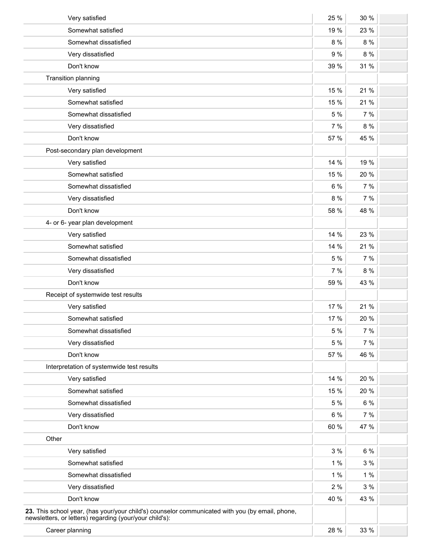| Very satisfied                                                                                                                                             | 25 %    | 30 %    |  |
|------------------------------------------------------------------------------------------------------------------------------------------------------------|---------|---------|--|
| Somewhat satisfied                                                                                                                                         | 19 %    | 23 %    |  |
| Somewhat dissatisfied                                                                                                                                      | $8\ \%$ | 8 %     |  |
| Very dissatisfied                                                                                                                                          | 9 %     | 8 %     |  |
| Don't know                                                                                                                                                 | 39 %    | 31 %    |  |
| Transition planning                                                                                                                                        |         |         |  |
| Very satisfied                                                                                                                                             | 15 %    | 21 %    |  |
| Somewhat satisfied                                                                                                                                         | 15 %    | 21 %    |  |
| Somewhat dissatisfied                                                                                                                                      | 5 %     | 7%      |  |
| Very dissatisfied                                                                                                                                          | 7%      | 8 %     |  |
| Don't know                                                                                                                                                 | 57 %    | 45 %    |  |
| Post-secondary plan development                                                                                                                            |         |         |  |
| Very satisfied                                                                                                                                             | 14 %    | 19 %    |  |
| Somewhat satisfied                                                                                                                                         | 15 %    | 20 %    |  |
| Somewhat dissatisfied                                                                                                                                      | 6 %     | 7%      |  |
| Very dissatisfied                                                                                                                                          | 8 %     | 7 %     |  |
| Don't know                                                                                                                                                 | 58 %    | 48 %    |  |
| 4- or 6- year plan development                                                                                                                             |         |         |  |
| Very satisfied                                                                                                                                             | 14 %    | 23 %    |  |
| Somewhat satisfied                                                                                                                                         | 14 %    | 21 %    |  |
| Somewhat dissatisfied                                                                                                                                      | 5 %     | 7%      |  |
| Very dissatisfied                                                                                                                                          | 7%      | $8\ \%$ |  |
| Don't know                                                                                                                                                 | 59 %    | 43 %    |  |
| Receipt of systemwide test results                                                                                                                         |         |         |  |
| Very satisfied                                                                                                                                             | 17 %    | 21 %    |  |
| Somewhat satisfied                                                                                                                                         | 17 %    | 20 %    |  |
| Somewhat dissatisfied                                                                                                                                      | 5 %     | 7 %     |  |
| Very dissatisfied                                                                                                                                          | 5 %     | 7%      |  |
| Don't know                                                                                                                                                 | 57 %    | 46 %    |  |
| Interpretation of systemwide test results                                                                                                                  |         |         |  |
| Very satisfied                                                                                                                                             | 14 %    | 20 %    |  |
| Somewhat satisfied                                                                                                                                         | 15 %    | 20 %    |  |
| Somewhat dissatisfied                                                                                                                                      | 5 %     | 6 %     |  |
| Very dissatisfied                                                                                                                                          | 6 %     | 7%      |  |
| Don't know                                                                                                                                                 | 60 %    | 47 %    |  |
| Other                                                                                                                                                      |         |         |  |
| Very satisfied                                                                                                                                             | 3%      | $6\%$   |  |
| Somewhat satisfied                                                                                                                                         | 1%      | 3%      |  |
| Somewhat dissatisfied                                                                                                                                      | $1\%$   | 1%      |  |
| Very dissatisfied                                                                                                                                          | 2%      | 3%      |  |
| Don't know                                                                                                                                                 | 40 %    | 43 %    |  |
| 23. This school year, (has your/your child's) counselor communicated with you (by email, phone,<br>newsletters, or letters) regarding (your/your child's): |         |         |  |
| Career planning                                                                                                                                            | 28 %    | 33 %    |  |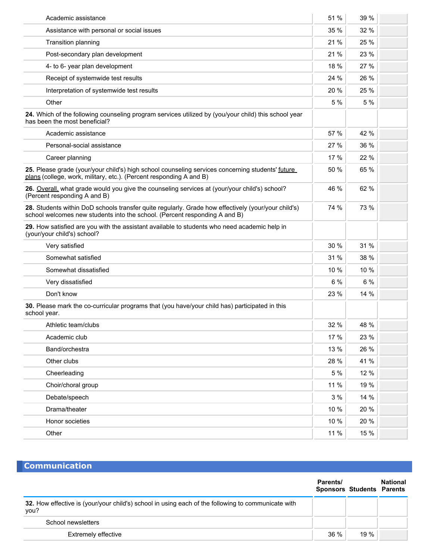| Academic assistance                                                                                                                                                               | 51 % | 39 % |  |
|-----------------------------------------------------------------------------------------------------------------------------------------------------------------------------------|------|------|--|
| Assistance with personal or social issues                                                                                                                                         | 35 % | 32 % |  |
| Transition planning                                                                                                                                                               | 21 % | 25 % |  |
| Post-secondary plan development                                                                                                                                                   | 21 % | 23 % |  |
| 4- to 6- year plan development                                                                                                                                                    | 18 % | 27 % |  |
| Receipt of systemwide test results                                                                                                                                                | 24 % | 26 % |  |
| Interpretation of systemwide test results                                                                                                                                         | 20 % | 25 % |  |
| Other                                                                                                                                                                             | 5 %  | 5 %  |  |
| 24. Which of the following counseling program services utilized by (you/your child) this school year<br>has been the most beneficial?                                             |      |      |  |
| Academic assistance                                                                                                                                                               | 57 % | 42 % |  |
| Personal-social assistance                                                                                                                                                        | 27 % | 36 % |  |
| Career planning                                                                                                                                                                   | 17 % | 22 % |  |
| 25. Please grade (your/your child's) high school counseling services concerning students' future<br>plans (college, work, military, etc.). (Percent responding A and B)           | 50 % | 65 % |  |
| 26. Overall, what grade would you give the counseling services at (your/your child's) school?<br>(Percent responding A and B)                                                     | 46 % | 62 % |  |
| 28. Students within DoD schools transfer quite regularly. Grade how effectively (your/your child's)<br>school welcomes new students into the school. (Percent responding A and B) | 74 % | 73 % |  |
| 29. How satisfied are you with the assistant available to students who need academic help in<br>(your/your child's) school?                                                       |      |      |  |
| Very satisfied                                                                                                                                                                    | 30 % | 31 % |  |
| Somewhat satisfied                                                                                                                                                                | 31 % | 38 % |  |
| Somewhat dissatisfied                                                                                                                                                             | 10 % | 10 % |  |
| Very dissatisfied                                                                                                                                                                 | 6%   | 6 %  |  |
| Don't know                                                                                                                                                                        | 23 % | 14 % |  |
| 30. Please mark the co-curricular programs that (you have/your child has) participated in this<br>school year.                                                                    |      |      |  |
| Athletic team/clubs                                                                                                                                                               | 32 % | 48 % |  |
| Academic club                                                                                                                                                                     | 17 % | 23 % |  |
| Band/orchestra                                                                                                                                                                    | 13 % | 26 % |  |
| Other clubs                                                                                                                                                                       | 28 % | 41 % |  |
| Cheerleading                                                                                                                                                                      | 5 %  | 12 % |  |
| Choir/choral group                                                                                                                                                                | 11 % | 19 % |  |
| Debate/speech                                                                                                                                                                     | 3%   | 14 % |  |
| Drama/theater                                                                                                                                                                     | 10 % | 20 % |  |
| Honor societies                                                                                                                                                                   | 10 % | 20 % |  |
| Other                                                                                                                                                                             | 11 % | 15 % |  |

#### **Communication**

|                                                                                                            | Parents/ | <b>Sponsors Students Parents</b> | <b>National</b> |
|------------------------------------------------------------------------------------------------------------|----------|----------------------------------|-----------------|
| 32. How effective is (your/your child's) school in using each of the following to communicate with<br>you? |          |                                  |                 |
| School newsletters                                                                                         |          |                                  |                 |
| <b>Extremely effective</b>                                                                                 | $36\%$   | 19%                              |                 |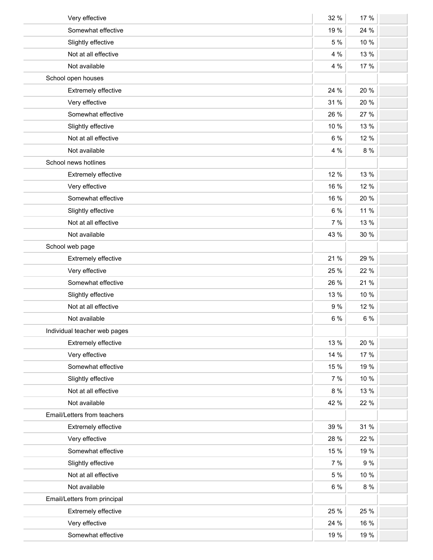| Very effective               | 32 % | 17 % |  |
|------------------------------|------|------|--|
| Somewhat effective           | 19 % | 24 % |  |
| Slightly effective           | 5 %  | 10 % |  |
| Not at all effective         | 4 %  | 13 % |  |
| Not available                | 4 %  | 17 % |  |
| School open houses           |      |      |  |
| Extremely effective          | 24 % | 20 % |  |
| Very effective               | 31 % | 20 % |  |
| Somewhat effective           | 26 % | 27 % |  |
| Slightly effective           | 10 % | 13 % |  |
| Not at all effective         | 6 %  | 12 % |  |
| Not available                | 4 %  | 8 %  |  |
| School news hotlines         |      |      |  |
| Extremely effective          | 12 % | 13 % |  |
| Very effective               | 16 % | 12 % |  |
| Somewhat effective           | 16 % | 20 % |  |
| Slightly effective           | 6 %  | 11 % |  |
| Not at all effective         | 7%   | 13 % |  |
| Not available                | 43 % | 30 % |  |
| School web page              |      |      |  |
| Extremely effective          | 21 % | 29 % |  |
| Very effective               | 25 % | 22 % |  |
| Somewhat effective           | 26 % | 21 % |  |
| Slightly effective           | 13 % | 10 % |  |
| Not at all effective         | 9 %  | 12 % |  |
| Not available                | 6 %  | 6 %  |  |
| Individual teacher web pages |      |      |  |
| Extremely effective          | 13 % | 20 % |  |
| Very effective               | 14 % | 17 % |  |
| Somewhat effective           | 15 % | 19 % |  |
| Slightly effective           | 7 %  | 10 % |  |
| Not at all effective         | 8 %  | 13 % |  |
| Not available                | 42 % | 22 % |  |
| Email/Letters from teachers  |      |      |  |
| Extremely effective          | 39 % | 31 % |  |
| Very effective               | 28 % | 22 % |  |
| Somewhat effective           | 15 % | 19 % |  |
| Slightly effective           | 7 %  | 9%   |  |
| Not at all effective         | 5 %  | 10 % |  |
| Not available                | 6 %  | 8 %  |  |
| Email/Letters from principal |      |      |  |
| Extremely effective          | 25 % | 25 % |  |
| Very effective               | 24 % | 16 % |  |
| Somewhat effective           | 19 % | 19 % |  |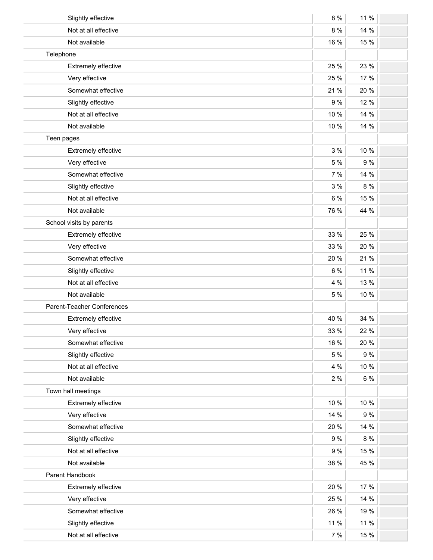| Slightly effective         | 8 %  | 11 % |  |
|----------------------------|------|------|--|
| Not at all effective       | 8 %  | 14 % |  |
| Not available              | 16 % | 15 % |  |
| Telephone                  |      |      |  |
| Extremely effective        | 25 % | 23 % |  |
| Very effective             | 25 % | 17 % |  |
| Somewhat effective         | 21 % | 20 % |  |
| Slightly effective         | 9%   | 12 % |  |
| Not at all effective       | 10 % | 14 % |  |
| Not available              | 10 % | 14 % |  |
| Teen pages                 |      |      |  |
| Extremely effective        | 3%   | 10 % |  |
| Very effective             | 5 %  | 9 %  |  |
| Somewhat effective         | 7 %  | 14 % |  |
| Slightly effective         | 3%   | 8 %  |  |
| Not at all effective       | 6 %  | 15 % |  |
| Not available              | 76 % | 44 % |  |
| School visits by parents   |      |      |  |
| Extremely effective        | 33 % | 25 % |  |
| Very effective             | 33 % | 20 % |  |
| Somewhat effective         | 20 % | 21 % |  |
| Slightly effective         | 6 %  | 11 % |  |
| Not at all effective       | 4 %  | 13 % |  |
| Not available              | 5 %  | 10 % |  |
| Parent-Teacher Conferences |      |      |  |
| Extremely effective        | 40 % | 34 % |  |
| Very effective             | 33 % | 22 % |  |
| Somewhat effective         | 16 % | 20 % |  |
| Slightly effective         | 5 %  | 9 %  |  |
| Not at all effective       | 4 %  | 10 % |  |
| Not available              | 2%   | 6 %  |  |
| Town hall meetings         |      |      |  |
| Extremely effective        | 10 % | 10 % |  |
| Very effective             | 14 % | 9 %  |  |
| Somewhat effective         | 20 % | 14 % |  |
| Slightly effective         | 9%   | 8 %  |  |
| Not at all effective       | 9%   | 15 % |  |
| Not available              | 38 % | 45 % |  |
| Parent Handbook            |      |      |  |
| Extremely effective        | 20 % | 17 % |  |
| Very effective             | 25 % | 14 % |  |
| Somewhat effective         | 26 % | 19 % |  |
| Slightly effective         | 11 % | 11 % |  |
| Not at all effective       | 7%   | 15 % |  |
|                            |      |      |  |